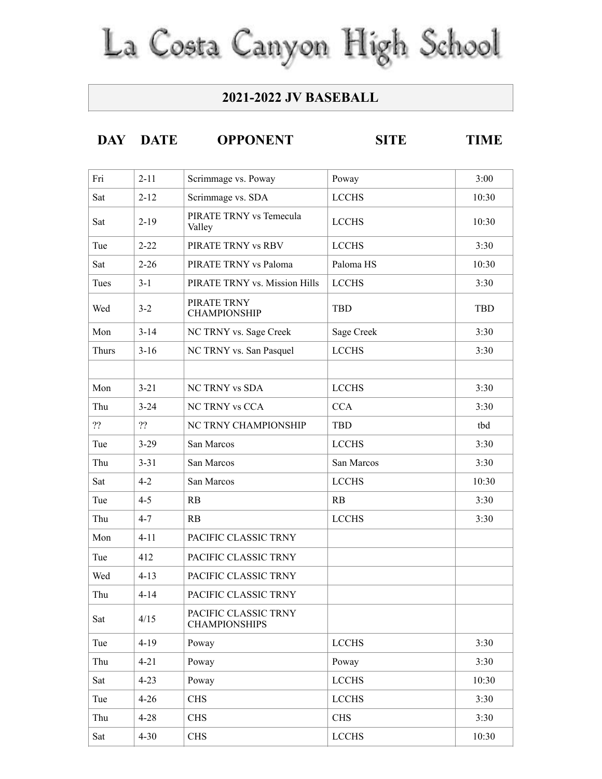## La Costa Canyon High School

## **2021-2022 JV BASEBALL**

## **DAY DATE OPPONENT SITE TIME**

| Fri   | $2 - 11$ | Scrimmage vs. Poway                          | Poway        | 3:00       |
|-------|----------|----------------------------------------------|--------------|------------|
| Sat   | $2 - 12$ | Scrimmage vs. SDA                            | <b>LCCHS</b> | 10:30      |
| Sat   | $2 - 19$ | PIRATE TRNY vs Temecula<br>Valley            | <b>LCCHS</b> | 10:30      |
| Tue   | $2 - 22$ | PIRATE TRNY vs RBV                           | <b>LCCHS</b> | 3:30       |
| Sat   | $2 - 26$ | PIRATE TRNY vs Paloma                        | Paloma HS    | 10:30      |
| Tues  | $3 - 1$  | PIRATE TRNY vs. Mission Hills                | <b>LCCHS</b> | 3:30       |
| Wed   | $3 - 2$  | PIRATE TRNY<br><b>CHAMPIONSHIP</b>           | <b>TBD</b>   | <b>TBD</b> |
| Mon   | $3 - 14$ | NC TRNY vs. Sage Creek                       | Sage Creek   | 3:30       |
| Thurs | $3 - 16$ | NC TRNY vs. San Pasquel                      | <b>LCCHS</b> | 3:30       |
|       |          |                                              |              |            |
| Mon   | $3 - 21$ | <b>NC TRNY vs SDA</b>                        | <b>LCCHS</b> | 3:30       |
| Thu   | $3 - 24$ | <b>NC TRNY vs CCA</b>                        | <b>CCA</b>   | 3:30       |
| ??    | ??       | NC TRNY CHAMPIONSHIP                         | <b>TBD</b>   | tbd        |
| Tue   | $3 - 29$ | San Marcos                                   | <b>LCCHS</b> | 3:30       |
| Thu   | $3 - 31$ | San Marcos                                   | San Marcos   | 3:30       |
| Sat   | $4 - 2$  | San Marcos                                   | <b>LCCHS</b> | 10:30      |
| Tue   | $4 - 5$  | RB                                           | RB           | 3:30       |
| Thu   | $4 - 7$  | RB                                           | <b>LCCHS</b> | 3:30       |
| Mon   | $4 - 11$ | PACIFIC CLASSIC TRNY                         |              |            |
| Tue   | 412      | PACIFIC CLASSIC TRNY                         |              |            |
| Wed   | $4 - 13$ | PACIFIC CLASSIC TRNY                         |              |            |
| Thu   | $4 - 14$ | PACIFIC CLASSIC TRNY                         |              |            |
| Sat   | 4/15     | PACIFIC CLASSIC TRNY<br><b>CHAMPIONSHIPS</b> |              |            |
| Tue   | $4 - 19$ | Poway                                        | <b>LCCHS</b> | 3:30       |
| Thu   | $4 - 21$ | Poway                                        | Poway        | 3:30       |
| Sat   | $4 - 23$ | Poway                                        | <b>LCCHS</b> | 10:30      |
| Tue   | $4 - 26$ | <b>CHS</b>                                   | <b>LCCHS</b> | 3:30       |
| Thu   | $4 - 28$ | <b>CHS</b>                                   | <b>CHS</b>   | 3:30       |
| Sat   | $4 - 30$ | <b>CHS</b>                                   | <b>LCCHS</b> | 10:30      |
|       |          |                                              |              |            |